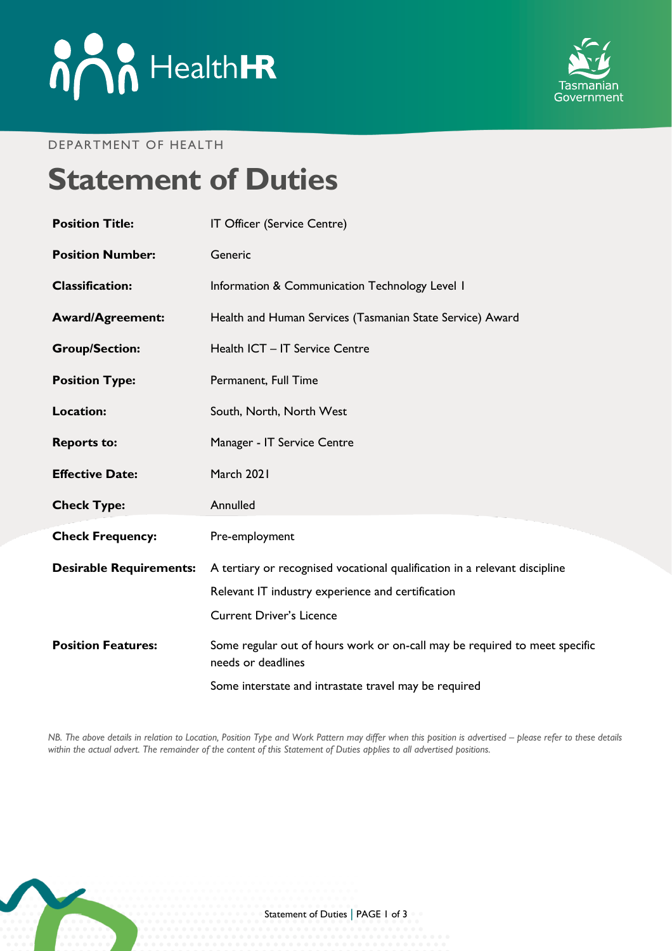

#### DEPARTMENT OF HEALTH

# **Statement of Duties**

| <b>Position Title:</b>         | IT Officer (Service Centre)                                                                                                                                        |
|--------------------------------|--------------------------------------------------------------------------------------------------------------------------------------------------------------------|
| <b>Position Number:</b>        | Generic                                                                                                                                                            |
| <b>Classification:</b>         | Information & Communication Technology Level I                                                                                                                     |
| <b>Award/Agreement:</b>        | Health and Human Services (Tasmanian State Service) Award                                                                                                          |
| <b>Group/Section:</b>          | Health ICT - IT Service Centre                                                                                                                                     |
| <b>Position Type:</b>          | Permanent, Full Time                                                                                                                                               |
| Location:                      | South, North, North West                                                                                                                                           |
| <b>Reports to:</b>             | Manager - IT Service Centre                                                                                                                                        |
| <b>Effective Date:</b>         | March 2021                                                                                                                                                         |
| <b>Check Type:</b>             | Annulled                                                                                                                                                           |
| <b>Check Frequency:</b>        | Pre-employment                                                                                                                                                     |
| <b>Desirable Requirements:</b> | A tertiary or recognised vocational qualification in a relevant discipline<br>Relevant IT industry experience and certification<br><b>Current Driver's Licence</b> |
| <b>Position Features:</b>      | Some regular out of hours work or on-call may be required to meet specific<br>needs or deadlines                                                                   |
|                                | Some interstate and intrastate travel may be required                                                                                                              |

*NB. The above details in relation to Location, Position Type and Work Pattern may differ when this position is advertised - please refer to these details within the actual advert. The remainder of the content of this Statement of Duties applies to all advertised positions.*

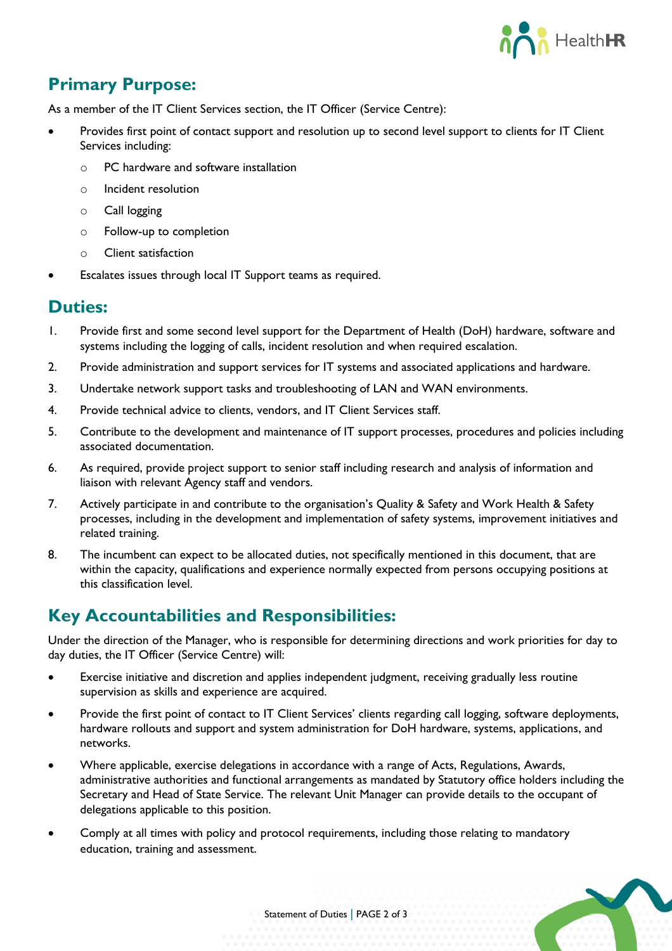

# **Primary Purpose:**

As a member of the IT Client Services section, the IT Officer (Service Centre):

- Provides first point of contact support and resolution up to second level support to clients for IT Client Services including:
	- o PC hardware and software installation
	- o Incident resolution
	- o Call logging
	- o Follow-up to completion
	- o Client satisfaction
- Escalates issues through local IT Support teams as required.

#### **Duties:**

- 1. Provide first and some second level support for the Department of Health (DoH) hardware, software and systems including the logging of calls, incident resolution and when required escalation.
- 2. Provide administration and support services for IT systems and associated applications and hardware.
- 3. Undertake network support tasks and troubleshooting of LAN and WAN environments.
- 4. Provide technical advice to clients, vendors, and IT Client Services staff.
- 5. Contribute to the development and maintenance of IT support processes, procedures and policies including associated documentation.
- 6. As required, provide project support to senior staff including research and analysis of information and liaison with relevant Agency staff and vendors.
- 7. Actively participate in and contribute to the organisation's Quality & Safety and Work Health & Safety processes, including in the development and implementation of safety systems, improvement initiatives and related training.
- 8. The incumbent can expect to be allocated duties, not specifically mentioned in this document, that are within the capacity, qualifications and experience normally expected from persons occupying positions at this classification level.

# **Key Accountabilities and Responsibilities:**

Under the direction of the Manager, who is responsible for determining directions and work priorities for day to day duties, the IT Officer (Service Centre) will:

- Exercise initiative and discretion and applies independent judgment, receiving gradually less routine supervision as skills and experience are acquired.
- Provide the first point of contact to IT Client Services' clients regarding call logging, software deployments, hardware rollouts and support and system administration for DoH hardware, systems, applications, and networks.
- Where applicable, exercise delegations in accordance with a range of Acts, Regulations, Awards, administrative authorities and functional arrangements as mandated by Statutory office holders including the Secretary and Head of State Service. The relevant Unit Manager can provide details to the occupant of delegations applicable to this position.
- Comply at all times with policy and protocol requirements, including those relating to mandatory education, training and assessment.